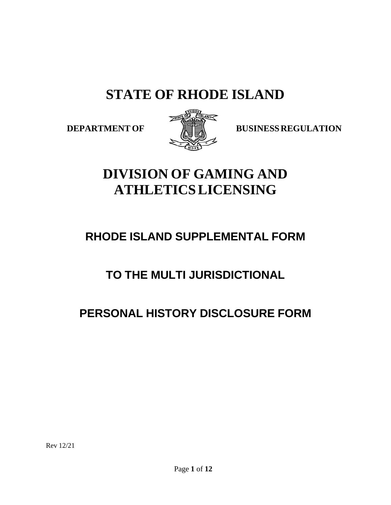# **STATE OF RHODE ISLAND**



**DEPARTMENT OF BUSINESS REGULATION** 

# **DIVISION OF GAMING AND ATHLETICS LICENSING**

# **RHODE ISLAND SUPPLEMENTAL FORM**

# **TO THE MULTI JURISDICTIONAL**

# **PERSONAL HISTORY DISCLOSURE FORM**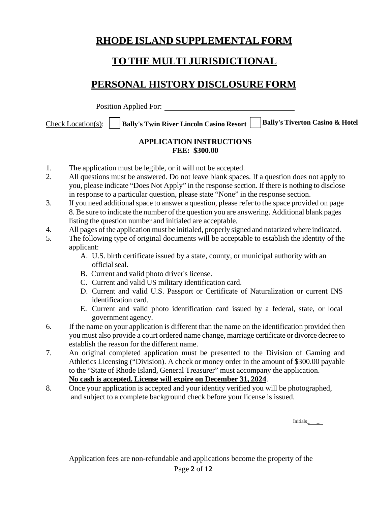## **RHODE ISLAND SUPPLEMENTAL FORM**

## **TO THE MULTI JURISDICTIONAL**

# **PERSONAL HISTORY DISCLOSURE FORM**

Position Applied For:

Check Location(s): **Bally's Twin River Lincoln Casino Resort Bally's Tiverton Casino & Hotel**

#### **APPLICATION INSTRUCTIONS FEE: \$300.00**

- 1. The application must be legible, or it will not be accepted.
- 2. All questions must be answered. Do not leave blank spaces. If a question does not apply to you, please indicate "Does Not Apply" in the response section. If there is nothing to disclose in response to a particular question, please state "None" in the response section.
- 3. If you need additional space to answer a question, please refer to the space provided on page 8. Be sure to indicate the number of the question you are answering. Additional blank pages listing the question number and initialed are acceptable.
- 4. All pages of the application must be initialed, properly signed and notarized where indicated.
- 5. The following type of original documents will be acceptable to establish the identity of the applicant:
	- A. U.S. birth certificate issued by a state, county, or municipal authority with an official seal.
	- B. Current and valid photo driver's license.
	- C. Current and valid US military identification card.
	- D. Current and valid U.S. Passport or Certificate of Naturalization or current INS identification card.
	- E. Current and valid photo identification card issued by a federal, state, or local government agency.
- 6. If the name on your application is different than the name on the identification provided then you must also provide a court ordered name change, marriage certificate or divorce decree to establish the reason for the different name.
- 7. An original completed application must be presented to the Division of Gaming and Athletics Licensing ("Division). A check or money order in the amount of \$300.00 payable to the "State of Rhode Island, General Treasurer" must accompany the application. **No cash is accepted. License will expire on December 31, 2024**.
- 8. Once your application is accepted and your identity verified you will be photographed, and subject to a complete background check before your license is issued.

Initials\_ \_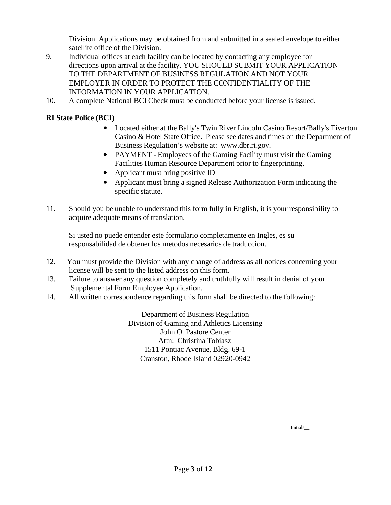Division. Applications may be obtained from and submitted in a sealed envelope to either satellite office of the Division.

- 9. Individual offices at each facility can be located by contacting any employee for directions upon arrival at the facility. YOU SHOULD SUBMIT YOUR APPLICATION TO THE DEPARTMENT OF BUSINESS REGULATION AND NOT YOUR EMPLOYER IN ORDER TO PROTECT THE CONFIDENTIALITY OF THE INFORMATION IN YOUR APPLICATION.
- 10. A complete National BCI Check must be conducted before your license is issued.

#### **RI State Police (BCI)**

- Located either at the Bally's Twin River Lincoln Casino Resort/Bally's Tiverton Casino & Hotel State Office. Please see dates and times on the Department of Business Regulation's website at: [www.dbr.ri.gov.](http://www.dbr.ri.gov/)
- PAYMENT Employees of the Gaming Facility must visit the Gaming Facilities Human Resource Department prior to fingerprinting.
- Applicant must bring positive ID
- Applicant must bring a signed Release Authorization Form indicating the specific statute.
- 11. Should you be unable to understand this form fully in English, it is your responsibility to acquire adequate means of translation.

Si usted no puede entender este formulario completamente en Ingles, es su responsabilidad de obtener los metodos necesarios de traduccion.

- 12. You must provide the Division with any change of address as all notices concerning your license will be sent to the listed address on this form.
- 13. Failure to answer any question completely and truthfully will result in denial of your Supplemental Form Employee Application.
- 14. All written correspondence regarding this form shall be directed to the following:

Department of Business Regulation Division of Gaming and Athletics Licensing John O. Pastore Center Attn: Christina Tobiasz 1511 Pontiac Avenue, Bldg. 69-1 Cranston, Rhode Island 02920-0942

Initials\_\_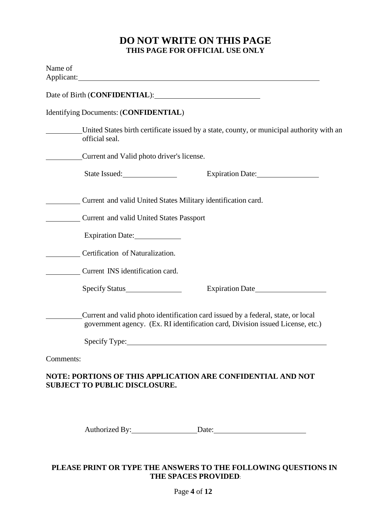#### **DO NOT WRITE ON THIS PAGE THIS PAGE FOR OFFICIAL USE ONLY**

|           | Date of Birth (CONFIDENTIAL):                                                                                                                                      |
|-----------|--------------------------------------------------------------------------------------------------------------------------------------------------------------------|
|           | Identifying Documents: (CONFIDENTIAL)                                                                                                                              |
|           | United States birth certificate issued by a state, county, or municipal authority with an<br>official seal.                                                        |
|           | Current and Valid photo driver's license.                                                                                                                          |
|           | State Issued:<br>Expiration Date:                                                                                                                                  |
|           | Current and valid United States Military identification card.                                                                                                      |
|           | Current and valid United States Passport                                                                                                                           |
|           | Expiration Date:                                                                                                                                                   |
|           | Certification of Naturalization.                                                                                                                                   |
|           | Current INS identification card.                                                                                                                                   |
|           | Specify Status<br>Expiration Date                                                                                                                                  |
|           | Current and valid photo identification card issued by a federal, state, or local<br>government agency. (Ex. RI identification card, Division issued License, etc.) |
|           | Specify Type:                                                                                                                                                      |
| Comments: |                                                                                                                                                                    |
|           | NOTE: PORTIONS OF THIS APPLICATION ARE CONFIDENTIAL AND NOT                                                                                                        |

Authorized By: Date:

#### **PLEASE PRINT OR TYPE THE ANSWERS TO THE FOLLOWING QUESTIONS IN THE SPACES PROVIDED**: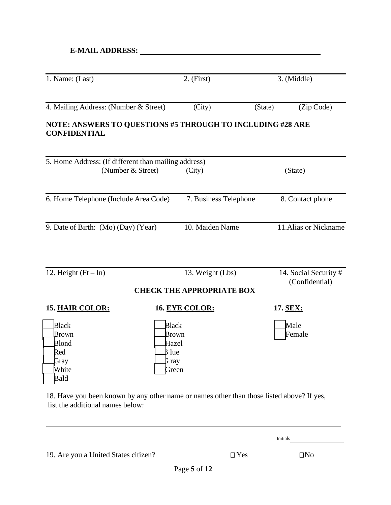| 1. Name: (Last)                                                                   |                                                                  | $2.$ (First)                     |         |                                         |  |
|-----------------------------------------------------------------------------------|------------------------------------------------------------------|----------------------------------|---------|-----------------------------------------|--|
|                                                                                   |                                                                  |                                  |         | 3. (Middle)                             |  |
| 4. Mailing Address: (Number & Street)                                             |                                                                  | (City)                           | (State) | (Zip Code)                              |  |
| NOTE: ANSWERS TO QUESTIONS #5 THROUGH TO INCLUDING #28 ARE<br><b>CONFIDENTIAL</b> |                                                                  |                                  |         |                                         |  |
| 5. Home Address: (If different than mailing address)                              |                                                                  |                                  |         |                                         |  |
| (Number & Street)                                                                 |                                                                  | (City)                           |         | (State)                                 |  |
| 6. Home Telephone (Include Area Code)                                             |                                                                  | 7. Business Telephone            |         | 8. Contact phone                        |  |
| 9. Date of Birth: (Mo) (Day) (Year)                                               |                                                                  | 10. Maiden Name                  |         | 11. Alias or Nickname                   |  |
| 12. Height $(Ft - In)$                                                            |                                                                  | 13. Weight (Lbs)                 |         | 14. Social Security #<br>(Confidential) |  |
|                                                                                   |                                                                  | <b>CHECK THE APPROPRIATE BOX</b> |         |                                         |  |
| <b>15. HAIR COLOR:</b>                                                            |                                                                  | 16. EYE COLOR:                   |         | 17. SEX:                                |  |
| <b>Black</b><br>Brown<br>Blond<br>Red<br>Gray<br>White<br>Bald                    | <b>Black</b><br>Brown<br>Hazel<br><b>B</b> lue<br>G ray<br>Green |                                  |         | Male<br>Female                          |  |

18. Have you been known by any other name or names other than those listed above? If yes, list the additional names below:

Initials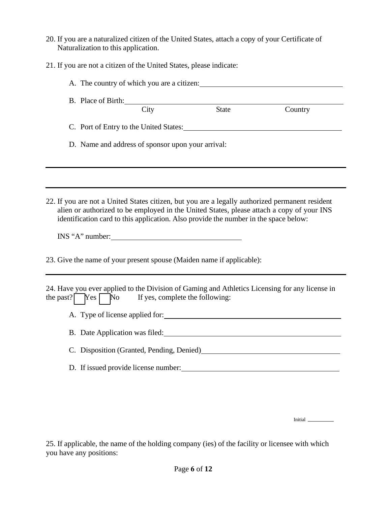- 20. If you are a naturalized citizen of the United States, attach a copy of your Certificate of Naturalization to this application.
- 21. If you are not a citizen of the United States, please indicate:

| A. The country of which you are a citizen:                                                                                                                                                                                                                                                              |                                 |              |                                                                                                                                                                                                                                |
|---------------------------------------------------------------------------------------------------------------------------------------------------------------------------------------------------------------------------------------------------------------------------------------------------------|---------------------------------|--------------|--------------------------------------------------------------------------------------------------------------------------------------------------------------------------------------------------------------------------------|
| B. Place of Birth:                                                                                                                                                                                                                                                                                      |                                 |              |                                                                                                                                                                                                                                |
|                                                                                                                                                                                                                                                                                                         | City                            | <b>State</b> | Country                                                                                                                                                                                                                        |
| C. Port of Entry to the United States:                                                                                                                                                                                                                                                                  |                                 |              |                                                                                                                                                                                                                                |
| D. Name and address of sponsor upon your arrival:                                                                                                                                                                                                                                                       |                                 |              |                                                                                                                                                                                                                                |
|                                                                                                                                                                                                                                                                                                         |                                 |              |                                                                                                                                                                                                                                |
|                                                                                                                                                                                                                                                                                                         |                                 |              |                                                                                                                                                                                                                                |
| 22. If you are not a United States citizen, but you are a legally authorized permanent resident<br>alien or authorized to be employed in the United States, please attach a copy of your INS<br>identification card to this application. Also provide the number in the space below:<br>INS "A" number: |                                 |              |                                                                                                                                                                                                                                |
| 23. Give the name of your present spouse (Maiden name if applicable):                                                                                                                                                                                                                                   |                                 |              |                                                                                                                                                                                                                                |
| 24. Have you ever applied to the Division of Gaming and Athletics Licensing for any license in<br>the past? $Yes$ No                                                                                                                                                                                    | If yes, complete the following: |              |                                                                                                                                                                                                                                |
|                                                                                                                                                                                                                                                                                                         |                                 |              |                                                                                                                                                                                                                                |
|                                                                                                                                                                                                                                                                                                         |                                 |              |                                                                                                                                                                                                                                |
|                                                                                                                                                                                                                                                                                                         |                                 |              | C. Disposition (Granted, Pending, Denied) Manual Accords 2014 12:00 12:00 12:00 12:00 12:00 12:00 12:00 12:00 12:00 12:00 12:00 12:00 12:00 12:00 12:00 12:00 12:00 12:00 12:00 12:00 12:00 12:00 12:00 12:00 12:00 12:00 12:0 |
| D. If issued provide license number:                                                                                                                                                                                                                                                                    |                                 |              |                                                                                                                                                                                                                                |
|                                                                                                                                                                                                                                                                                                         |                                 |              |                                                                                                                                                                                                                                |

Initial

25. If applicable, the name of the holding company (ies) of the facility or licensee with which you have any positions: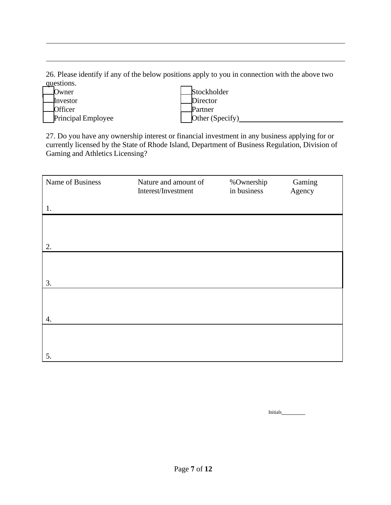26. Please identify if any of the below positions apply to you in connection with the above two questions.

| Owner                     | Stockholder     |
|---------------------------|-----------------|
| ¶nvestor                  | Director        |
| Officer                   | Partner         |
| <b>Principal Employee</b> | Other (Specify) |
|                           |                 |

27. Do you have any ownership interest or financial investment in any business applying for or currently licensed by the State of Rhode Island, Department of Business Regulation, Division of Gaming and Athletics Licensing?

| Name of Business | Nature and amount of<br>Interest/Investment | %Ownership<br>in business | Gaming<br>Agency |
|------------------|---------------------------------------------|---------------------------|------------------|
| 1.               |                                             |                           |                  |
|                  |                                             |                           |                  |
| 2.               |                                             |                           |                  |
|                  |                                             |                           |                  |
| 3.               |                                             |                           |                  |
|                  |                                             |                           |                  |
| 4.               |                                             |                           |                  |
|                  |                                             |                           |                  |
| 5.               |                                             |                           |                  |

Initials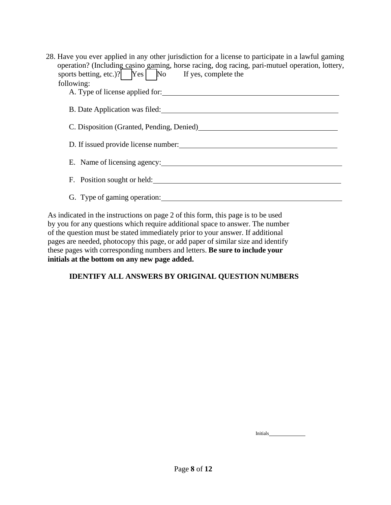| 28. Have you ever applied in any other jurisdiction for a license to participate in a lawful gaming<br>operation? (Including casino gaming, horse racing, dog racing, pari-mutuel operation, lottery,<br>sports betting, etc.)? $\boxed{\phantom{\text{y}}\text{Yes}}$ $\boxed{\phantom{\text{y}}\text{No}}$ If yes, complete the<br>following: |
|-------------------------------------------------------------------------------------------------------------------------------------------------------------------------------------------------------------------------------------------------------------------------------------------------------------------------------------------------|
| B. Date Application was filed:                                                                                                                                                                                                                                                                                                                  |
| C. Disposition (Granted, Pending, Denied)                                                                                                                                                                                                                                                                                                       |
| D. If issued provide license number:                                                                                                                                                                                                                                                                                                            |
| E. Name of licensing agency:                                                                                                                                                                                                                                                                                                                    |
| F. Position sought or held:                                                                                                                                                                                                                                                                                                                     |
| G. Type of gaming operation:                                                                                                                                                                                                                                                                                                                    |

As indicated in the instructions on page 2 of this form, this page is to be used by you for any questions which require additional space to answer. The number of the question must be stated immediately prior to your answer. If additional pages are needed, photocopy this page, or add paper of similar size and identify these pages with corresponding numbers and letters. **Be sure to include your initials at the bottom on any new page added.**

#### **IDENTIFY ALL ANSWERS BY ORIGINAL QUESTION NUMBERS**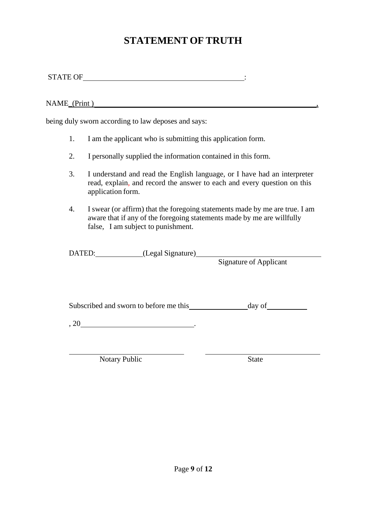## **STATEMENT OF TRUTH**

STATE OF  $\qquad \qquad \vdots$ 

NAME (Print )

being duly sworn according to law deposes and says:

- 1. I am the applicant who is submitting this application form.
- 2. I personally supplied the information contained in this form.
- 3. I understand and read the English language, or I have had an interpreter read, explain, and record the answer to each and every question on this application form.
- 4. I swear (or affirm) that the foregoing statements made by me are true. I am aware that if any of the foregoing statements made by me are willfully false, I am subject to punishment.

DATED: (Legal Signature)

Signature of Applicant

Subscribed and sworn to before me this day of

 $, 20$   $.$ 

Notary Public State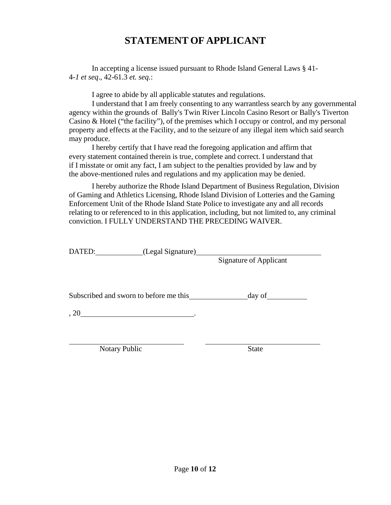## **STATEMENT OF APPLICANT**

In accepting a license issued pursuant to Rhode Island General Laws § 41- 4-*1 et seq*., 42-61.3 *et. seq.*:

I agree to abide by all applicable statutes and regulations.

I understand that I am freely consenting to any warrantless search by any governmental agency within the grounds of Bally's Twin River Lincoln Casino Resort or Bally's Tiverton Casino & Hotel ("the facility"), of the premises which I occupy or control, and my personal property and effects at the Facility, and to the seizure of any illegal item which said search may produce.

I hereby certify that I have read the foregoing application and affirm that every statement contained therein is true, complete and correct. I understand that if I misstate or omit any fact, I am subject to the penalties provided by law and by the above-mentioned rules and regulations and my application may be denied.

I hereby authorize the Rhode Island Department of Business Regulation, Division of Gaming and Athletics Licensing, Rhode Island Division of Lotteries and the Gaming Enforcement Unit of the Rhode Island State Police to investigate any and all records relating to or referenced to in this application, including, but not limited to, any criminal conviction. I FULLY UNDERSTAND THE PRECEDING WAIVER.

| DATED:                                 | (Legal Signature) |                               |  |
|----------------------------------------|-------------------|-------------------------------|--|
|                                        |                   | <b>Signature of Applicant</b> |  |
|                                        |                   |                               |  |
|                                        |                   |                               |  |
| Subscribed and sworn to before me this |                   | day of $\qquad$               |  |
| , 20                                   |                   |                               |  |
|                                        |                   |                               |  |
|                                        |                   |                               |  |

Notary Public State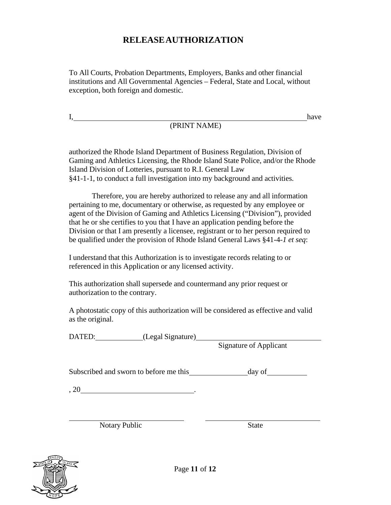### **RELEASE AUTHORIZATION**

To All Courts, Probation Departments, Employers, Banks and other financial institutions and All Governmental Agencies – Federal, State and Local, without exception, both foreign and domestic.

I,

# (PRINT NAME)

authorized the Rhode Island Department of Business Regulation, Division of Gaming and Athletics Licensing, the Rhode Island State Police, and/or the Rhode Island Division of Lotteries, pursuant to R.I. General Law §41-1-1, to conduct a full investigation into my background and activities.

Therefore, you are hereby authorized to release any and all information pertaining to me, documentary or otherwise, as requested by any employee or agent of the Division of Gaming and Athletics Licensing ("Division"), provided that he or she certifies to you that I have an application pending before the Division or that I am presently a licensee, registrant or to her person required to be qualified under the provision of Rhode Island General Laws §41-4-*1 et seq*:

I understand that this Authorization is to investigate records relating to or referenced in this Application or any licensed activity.

This authorization shall supersede and countermand any prior request or authorization to the contrary.

A photostatic copy of this authorization will be considered as effective and valid as the original.

DATED: (Legal Signature)

Signature of Applicant

have

Subscribed and sworn to before me this day of

, 20  $\blacksquare$ 

Notary Public State



Page **11** of **12**